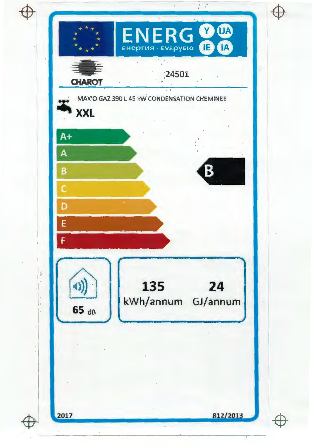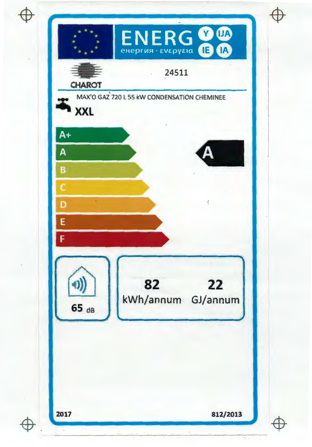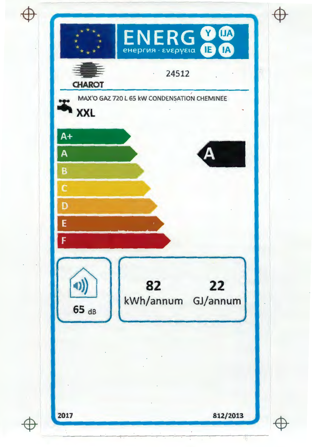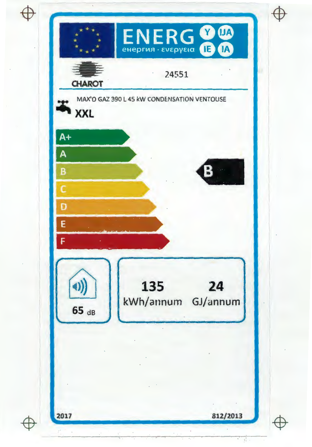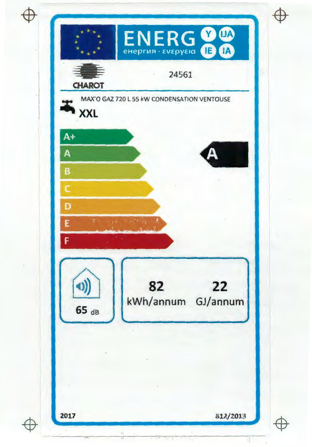